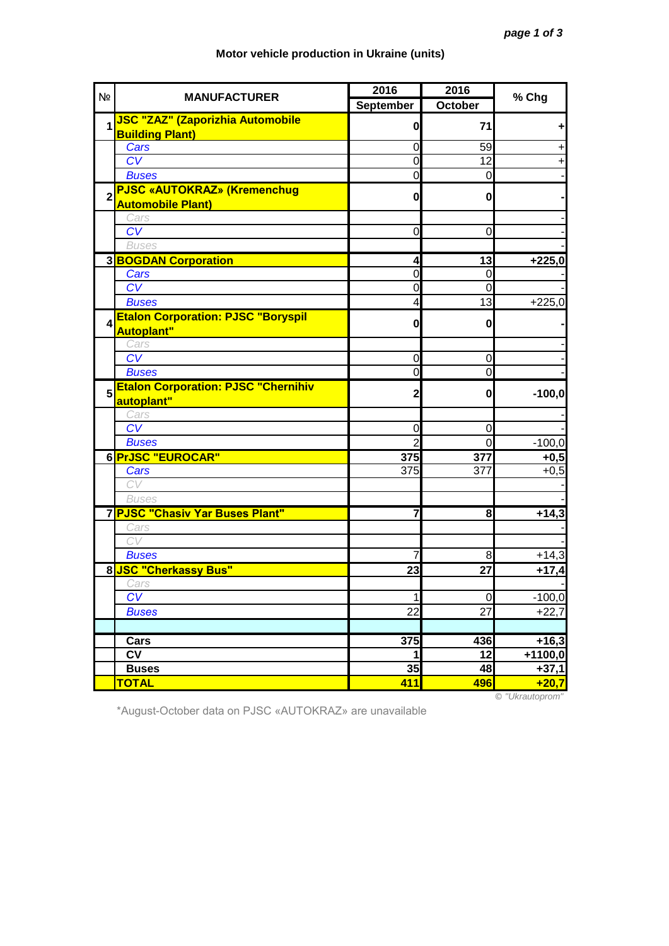| N <sub>2</sub>          | <b>MANUFACTURER</b>                        | 2016           | 2016           | % Chg           |
|-------------------------|--------------------------------------------|----------------|----------------|-----------------|
|                         |                                            | September      | October        |                 |
| $\overline{\mathbf{1}}$ | <b>JSC "ZAZ" (Zaporizhia Automobile</b>    | $\mathbf{0}$   | 71             |                 |
|                         | <b>Building Plant)</b>                     |                |                | ٠               |
|                         | Cars                                       | 0              | 59             | $+$             |
|                         | CV                                         | $\Omega$       | 12             | $\ddot{}$       |
|                         | <b>Buses</b>                               | $\overline{0}$ | $\mathbf 0$    |                 |
| $\overline{2}$          | <b>PJSC «AUTOKRAZ» (Kremenchug</b>         | $\mathbf{0}$   | $\mathbf{0}$   |                 |
|                         | <b>Automobile Plant)</b>                   |                |                |                 |
|                         | Cars                                       |                |                |                 |
|                         | $\overline{\text{CV}}$                     | 0              | 0              |                 |
|                         | <b>Buses</b>                               |                |                |                 |
|                         | <b>3BOGDAN Corporation</b>                 | 4              | 13             | $+225,0$        |
|                         | Cars                                       | 0              | $\mathbf 0$    |                 |
|                         | CV                                         | 0              | $\overline{0}$ |                 |
|                         | <b>Buses</b>                               | 4              | 13             | $+225,0$        |
| $\boldsymbol{A}$        | <b>Etalon Corporation: PJSC "Boryspil</b>  |                |                |                 |
|                         | <b>Autoplant"</b>                          | $\mathbf{0}$   | 0              |                 |
|                         | Cars                                       |                |                |                 |
|                         | $\overline{\text{CV}}$                     | 0              | 0              |                 |
|                         | <b>Buses</b>                               | $\overline{0}$ | 0              |                 |
|                         | <b>Etalon Corporation: PJSC "Chernihiv</b> |                |                |                 |
| 5                       | autoplant"                                 | $\mathbf{2}$   | $\mathbf{0}$   | $-100,0$        |
|                         | Cars                                       |                |                |                 |
|                         | CV                                         | $\mathbf 0$    | 0              |                 |
|                         | <b>Buses</b>                               | $\overline{2}$ | $\overline{0}$ | $-100,0$        |
|                         | 6 PrJSC "EUROCAR"                          | 375            | 377            | $+0,5$          |
|                         | Cars                                       | 375            | 377            | $+0,5$          |
|                         | CV                                         |                |                |                 |
|                         | <b>Buses</b>                               |                |                |                 |
|                         | 7 PJSC "Chasiv Yar Buses Plant"            | $\overline{7}$ | 8              | $+14,3$         |
|                         | Cars                                       |                |                |                 |
|                         | CV                                         |                |                |                 |
|                         | <b>Buses</b>                               |                | 8              | $+14,3$         |
|                         | 8 JSC "Cherkassy Bus"                      | 23             | 27             | $+17,4$         |
|                         | Cars                                       |                |                |                 |
|                         | CV                                         | 1              | $\overline{0}$ | $-100,0$        |
|                         | <b>Buses</b>                               | 22             | 27             | $+22,7$         |
|                         |                                            |                |                |                 |
|                         | Cars                                       | 375            | 436            | $+16,3$         |
|                         | <b>CV</b>                                  | $\mathbf{1}$   | 12             | $+1100,0$       |
|                         | <b>Buses</b>                               | 35             | 48             | $+37,1$         |
|                         | <b>TOTAL</b>                               | 411            | 496            | $+20,7$         |
|                         |                                            |                |                | © "Ukrautoprom" |

## **Motor vehicle production in Ukraine (units)**

\*August-October data on PJSC «AUTOKRAZ» are unavailable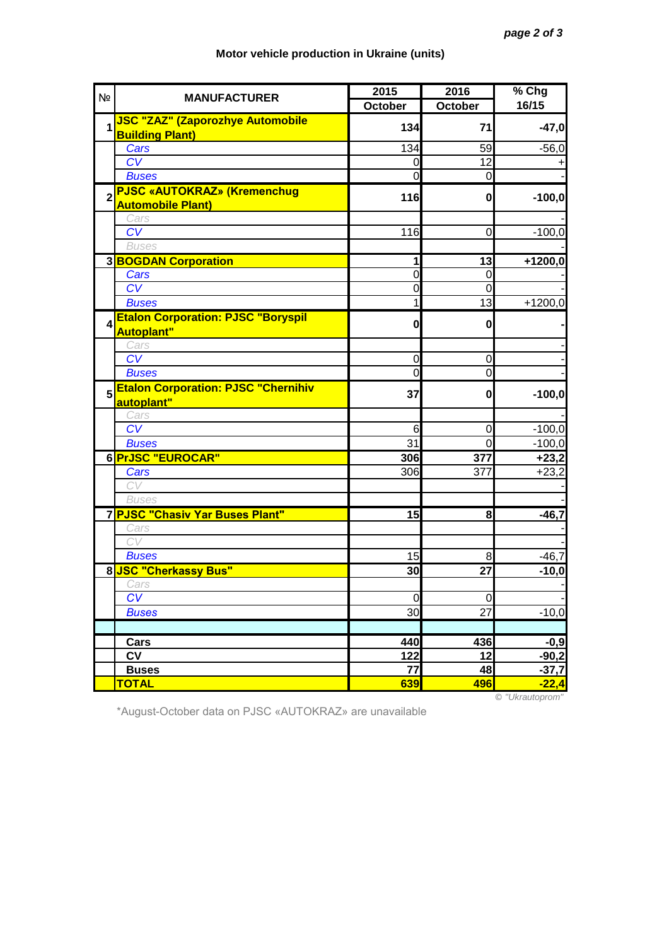| N <sub>2</sub>          | <b>MANUFACTURER</b>                        | 2015           | 2016           | % Chg              |
|-------------------------|--------------------------------------------|----------------|----------------|--------------------|
|                         |                                            | October        | October        | 16/15              |
| $\overline{\mathbf{1}}$ | <b>JSC "ZAZ" (Zaporozhye Automobile</b>    | 134            | 71             | $-47,0$            |
|                         | <b>Building Plant)</b>                     |                |                |                    |
|                         | Cars                                       | 134            | 59             | $-56,0$            |
|                         | CV                                         | $\overline{0}$ | 12             | +                  |
|                         | <b>Buses</b>                               | $\overline{0}$ | $\overline{0}$ |                    |
| $\overline{2}$          | <b>PJSC «AUTOKRAZ» (Kremenchug</b>         | 116            | 0              | $-100,0$           |
|                         | <b>Automobile Plant)</b>                   |                |                |                    |
|                         | Cars                                       |                |                |                    |
|                         | $\overline{\text{CV}}$                     | 116            | $\mathbf 0$    | $-100,0$           |
|                         | <b>Buses</b>                               |                |                |                    |
|                         | 3 <b>BOGDAN Corporation</b>                | 1              | 13             | $+1200,0$          |
|                         | Cars                                       | 0              | $\mathbf 0$    |                    |
|                         | CV                                         | 0              | $\mathbf 0$    |                    |
|                         | <b>Buses</b>                               | 1              | 13             | $+1200,0$          |
| $\boldsymbol{A}$        | <b>Etalon Corporation: PJSC "Boryspil</b>  | $\mathbf{0}$   | $\mathbf 0$    |                    |
|                         | <b>Autoplant"</b>                          |                |                |                    |
|                         | Cars<br>$\overline{\text{CV}}$             |                |                |                    |
|                         |                                            | 0              | 0              |                    |
|                         | <b>Buses</b>                               | 0              | $\mathbf 0$    |                    |
| 5                       | <b>Etalon Corporation: PJSC "Chernihiv</b> | 37             | $\mathbf{0}$   | $-100,0$           |
|                         | autoplant"                                 |                |                |                    |
|                         | Cars<br>CV                                 | 6              | 0              | $-100,0$           |
|                         | <b>Buses</b>                               | 31             | $\mathbf 0$    |                    |
|                         | 6 PrJSC "EUROCAR"                          |                |                | $-100,0$           |
|                         | Cars                                       | 306<br>306     | 377<br>377     | $+23,2$<br>$+23,2$ |
|                         | CV                                         |                |                |                    |
|                         | <b>Buses</b>                               |                |                |                    |
|                         | 7 PJSC "Chasiv Yar Buses Plant"            | 15             | 8              | $-46,7$            |
|                         | Cars                                       |                |                |                    |
|                         | CV                                         |                |                |                    |
|                         | <b>Buses</b>                               | 15             | 8              | $-46,7$            |
|                         | 8 JSC "Cherkassy Bus"                      | 30             | 27             | $-10,0$            |
|                         | Cars                                       |                |                |                    |
|                         | CV                                         | $\mathbf 0$    | $\mathbf 0$    |                    |
|                         | <b>Buses</b>                               | 30             | 27             | $-10,0$            |
|                         |                                            |                |                |                    |
|                         | Cars                                       | 440            | 436            | $-0,9$             |
|                         | <b>CV</b>                                  | 122            | 12             | $-90,2$            |
|                         | <b>Buses</b>                               | 77             | 48             | $-37,7$            |
|                         | <b>TOTAL</b>                               | 639            | 496            | $-22,4$            |
|                         |                                            |                |                | © "Ukrautoprom"    |

## **Motor vehicle production in Ukraine (units)**

\*August-October data on PJSC «AUTOKRAZ» are unavailable